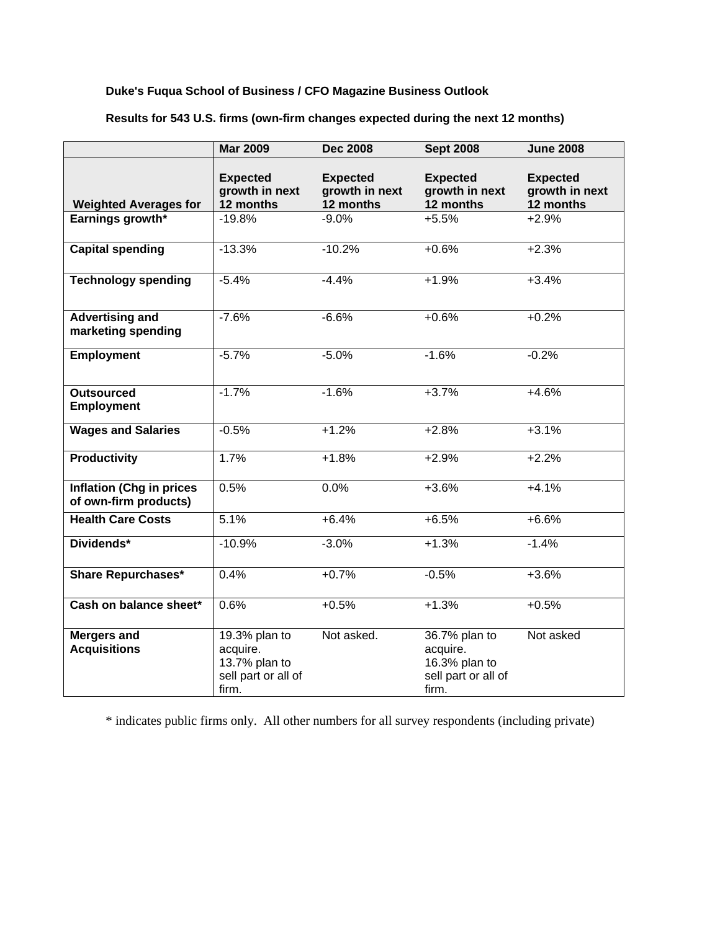## **Duke's Fuqua School of Business / CFO Magazine Business Outlook**

|                                                          | <b>Mar 2009</b>                                                            | <b>Dec 2008</b>                                | <b>Sept 2008</b>                                                           | <b>June 2008</b>                               |
|----------------------------------------------------------|----------------------------------------------------------------------------|------------------------------------------------|----------------------------------------------------------------------------|------------------------------------------------|
| <b>Weighted Averages for</b>                             | <b>Expected</b><br>growth in next<br>12 months                             | <b>Expected</b><br>growth in next<br>12 months | <b>Expected</b><br>growth in next<br>12 months                             | <b>Expected</b><br>growth in next<br>12 months |
| Earnings growth*                                         | $-19.8%$                                                                   | $-9.0%$                                        | $+5.5%$                                                                    | $+2.9%$                                        |
| <b>Capital spending</b>                                  | $-13.3%$                                                                   | $-10.2%$                                       | $+0.6%$                                                                    | $+2.3%$                                        |
| <b>Technology spending</b>                               | $-5.4%$                                                                    | $-4.4%$                                        | $+1.9%$                                                                    | $+3.4%$                                        |
| <b>Advertising and</b><br>marketing spending             | $-7.6%$                                                                    | $-6.6%$                                        | $+0.6%$                                                                    | $+0.2%$                                        |
| <b>Employment</b>                                        | $-5.7%$                                                                    | $-5.0%$                                        | $-1.6%$                                                                    | $-0.2%$                                        |
| <b>Outsourced</b><br><b>Employment</b>                   | $-1.7%$                                                                    | $-1.6%$                                        | $+3.7%$                                                                    | $+4.6%$                                        |
| <b>Wages and Salaries</b>                                | $-0.5%$                                                                    | $+1.2%$                                        | $+2.8%$                                                                    | $+3.1%$                                        |
| <b>Productivity</b>                                      | 1.7%                                                                       | $+1.8%$                                        | $+2.9%$                                                                    | $+2.2%$                                        |
| <b>Inflation (Chg in prices</b><br>of own-firm products) | 0.5%                                                                       | 0.0%                                           | $+3.6%$                                                                    | $+4.1%$                                        |
| <b>Health Care Costs</b>                                 | 5.1%                                                                       | $+6.4%$                                        | $+6.5%$                                                                    | $+6.6%$                                        |
| Dividends*                                               | $-10.9%$                                                                   | $-3.0%$                                        | $+1.3%$                                                                    | $-1.4%$                                        |
| <b>Share Repurchases*</b>                                | 0.4%                                                                       | $+0.7%$                                        | $-0.5%$                                                                    | $+3.6%$                                        |
| Cash on balance sheet*                                   | 0.6%                                                                       | $+0.5%$                                        | $+1.3%$                                                                    | $+0.5%$                                        |
| <b>Mergers and</b><br><b>Acquisitions</b>                | 19.3% plan to<br>acquire.<br>13.7% plan to<br>sell part or all of<br>firm. | Not asked.                                     | 36.7% plan to<br>acquire.<br>16.3% plan to<br>sell part or all of<br>firm. | Not asked                                      |

**Results for 543 U.S. firms (own-firm changes expected during the next 12 months)** 

\* indicates public firms only. All other numbers for all survey respondents (including private)